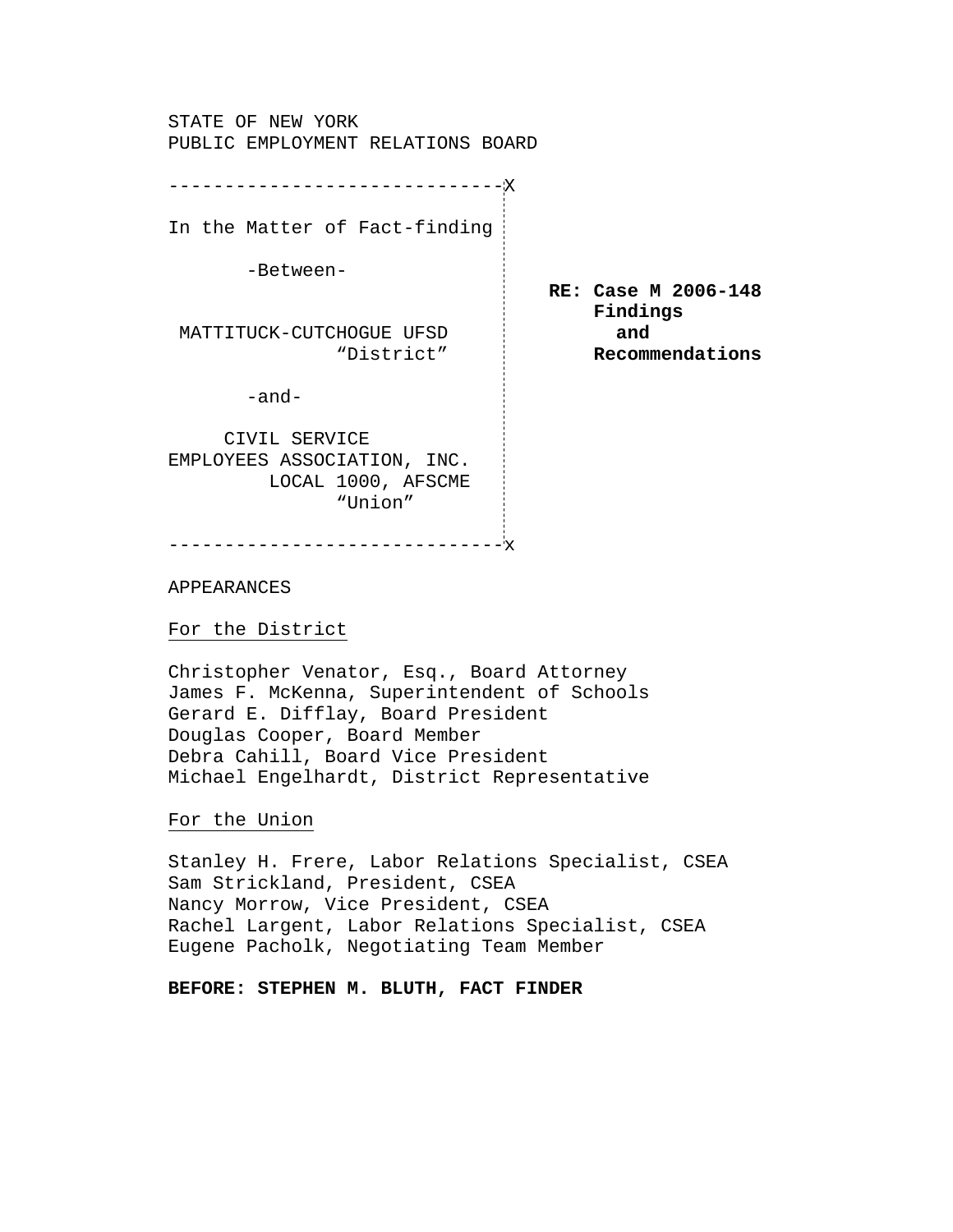STATE OF NEW YORK PUBLIC EMPLOYMENT RELATIONS BOARD

In the Matter of Fact-finding

------------------------------X

-Between-

MATTITUCK-CUTCHOGUE UFSD **and** "District" **Recommendations** 

-and-

 CIVIL SERVICE EMPLOYEES ASSOCIATION, INC. LOCAL 1000, AFSCME "Union"

------------------------------x

APPEARANCES

For the District

Christopher Venator, Esq., Board Attorney James F. McKenna, Superintendent of Schools Gerard E. Difflay, Board President Douglas Cooper, Board Member Debra Cahill, Board Vice President Michael Engelhardt, District Representative

 **RE: Case M 2006-148 Findings** 

For the Union

Stanley H. Frere, Labor Relations Specialist, CSEA Sam Strickland, President, CSEA Nancy Morrow, Vice President, CSEA Rachel Largent, Labor Relations Specialist, CSEA Eugene Pacholk, Negotiating Team Member

**BEFORE: STEPHEN M. BLUTH, FACT FINDER**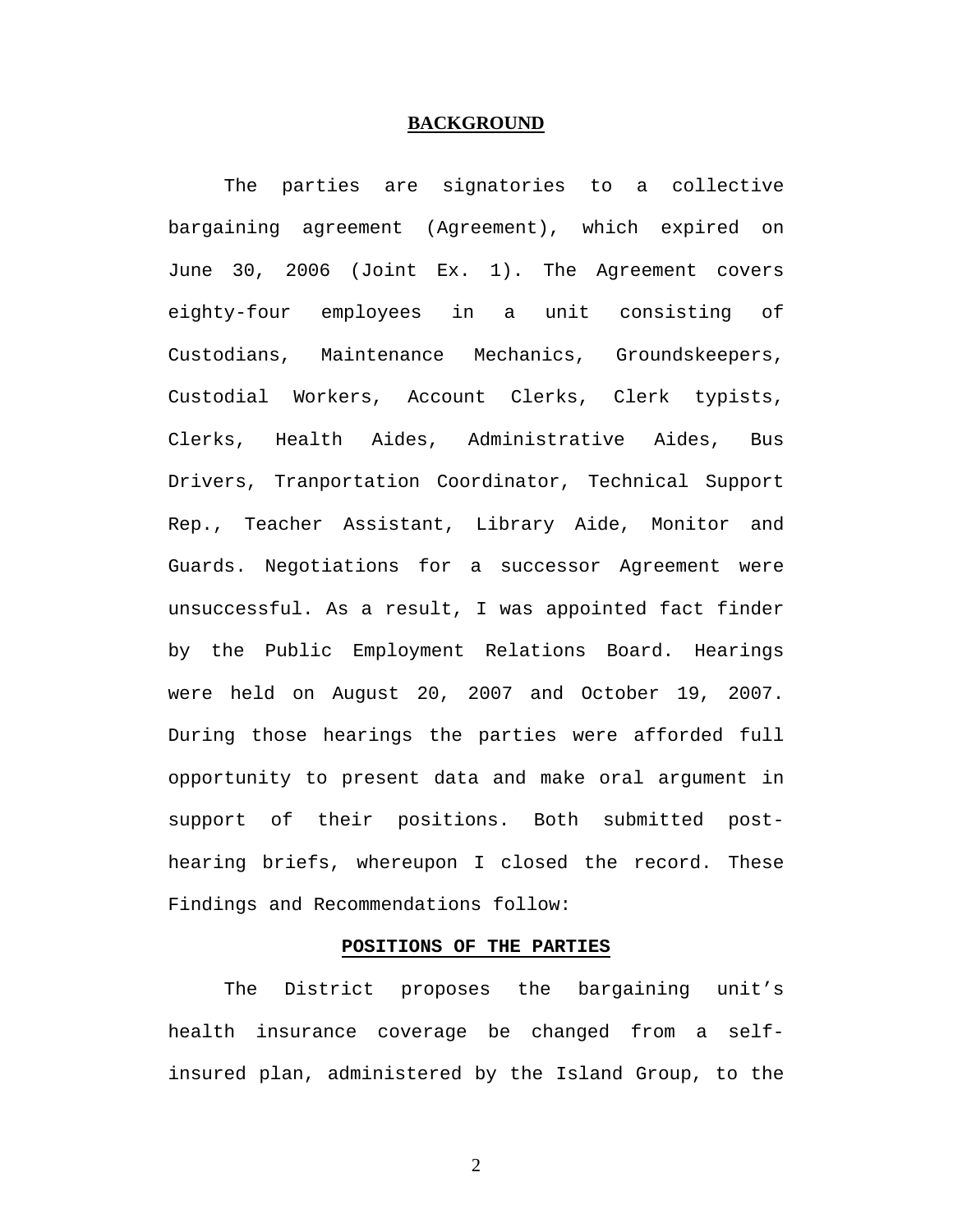## **BACKGROUND**

The parties are signatories to a collective bargaining agreement (Agreement), which expired on June 30, 2006 (Joint Ex. 1). The Agreement covers eighty-four employees in a unit consisting of Custodians, Maintenance Mechanics, Groundskeepers, Custodial Workers, Account Clerks, Clerk typists, Clerks, Health Aides, Administrative Aides, Bus Drivers, Tranportation Coordinator, Technical Support Rep., Teacher Assistant, Library Aide, Monitor and Guards. Negotiations for a successor Agreement were unsuccessful. As a result, I was appointed fact finder by the Public Employment Relations Board. Hearings were held on August 20, 2007 and October 19, 2007. During those hearings the parties were afforded full opportunity to present data and make oral argument in support of their positions. Both submitted posthearing briefs, whereupon I closed the record. These Findings and Recommendations follow:

## **POSITIONS OF THE PARTIES**

 The District proposes the bargaining unit's health insurance coverage be changed from a selfinsured plan, administered by the Island Group, to the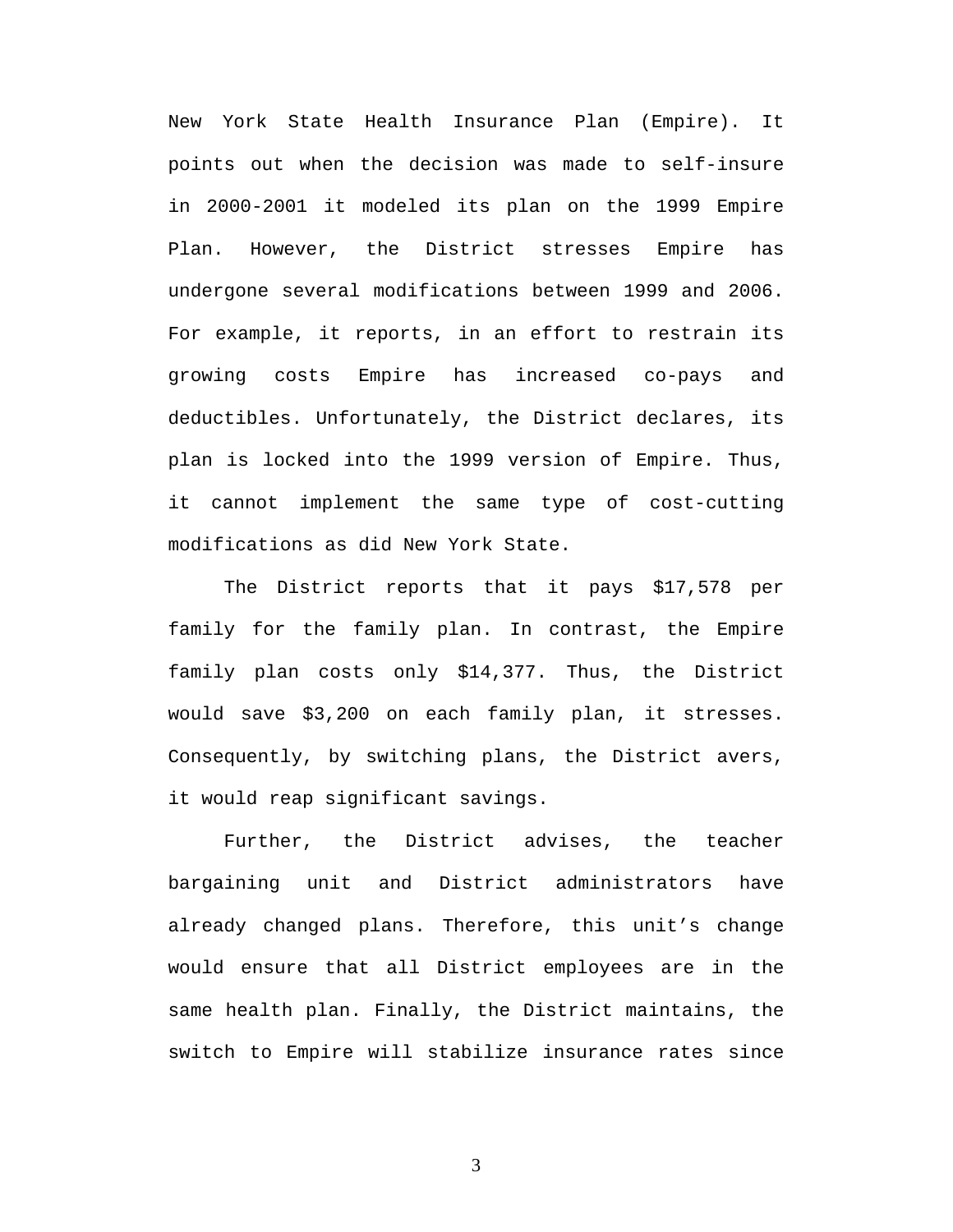New York State Health Insurance Plan (Empire). It points out when the decision was made to self-insure in 2000-2001 it modeled its plan on the 1999 Empire Plan. However, the District stresses Empire has undergone several modifications between 1999 and 2006. For example, it reports, in an effort to restrain its growing costs Empire has increased co-pays and deductibles. Unfortunately, the District declares, its plan is locked into the 1999 version of Empire. Thus, it cannot implement the same type of cost-cutting modifications as did New York State.

 The District reports that it pays \$17,578 per family for the family plan. In contrast, the Empire family plan costs only \$14,377. Thus, the District would save \$3,200 on each family plan, it stresses. Consequently, by switching plans, the District avers, it would reap significant savings.

Further, the District advises, the teacher bargaining unit and District administrators have already changed plans. Therefore, this unit's change would ensure that all District employees are in the same health plan. Finally, the District maintains, the switch to Empire will stabilize insurance rates since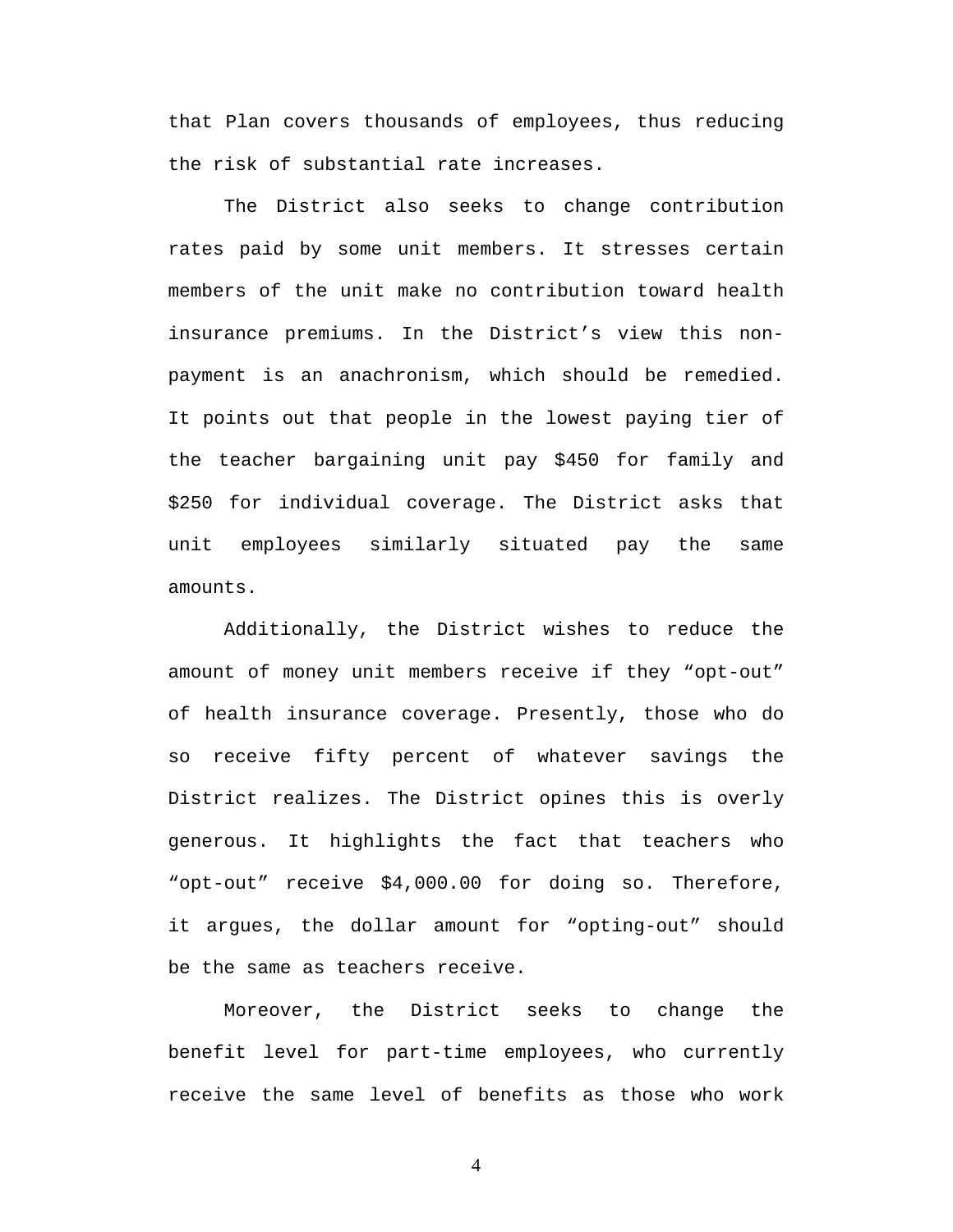that Plan covers thousands of employees, thus reducing the risk of substantial rate increases.

 The District also seeks to change contribution rates paid by some unit members. It stresses certain members of the unit make no contribution toward health insurance premiums. In the District's view this nonpayment is an anachronism, which should be remedied. It points out that people in the lowest paying tier of the teacher bargaining unit pay \$450 for family and \$250 for individual coverage. The District asks that unit employees similarly situated pay the same amounts.

Additionally, the District wishes to reduce the amount of money unit members receive if they "opt-out" of health insurance coverage. Presently, those who do so receive fifty percent of whatever savings the District realizes. The District opines this is overly generous. It highlights the fact that teachers who "opt-out" receive \$4,000.00 for doing so. Therefore, it argues, the dollar amount for "opting-out" should be the same as teachers receive.

Moreover, the District seeks to change the benefit level for part-time employees, who currently receive the same level of benefits as those who work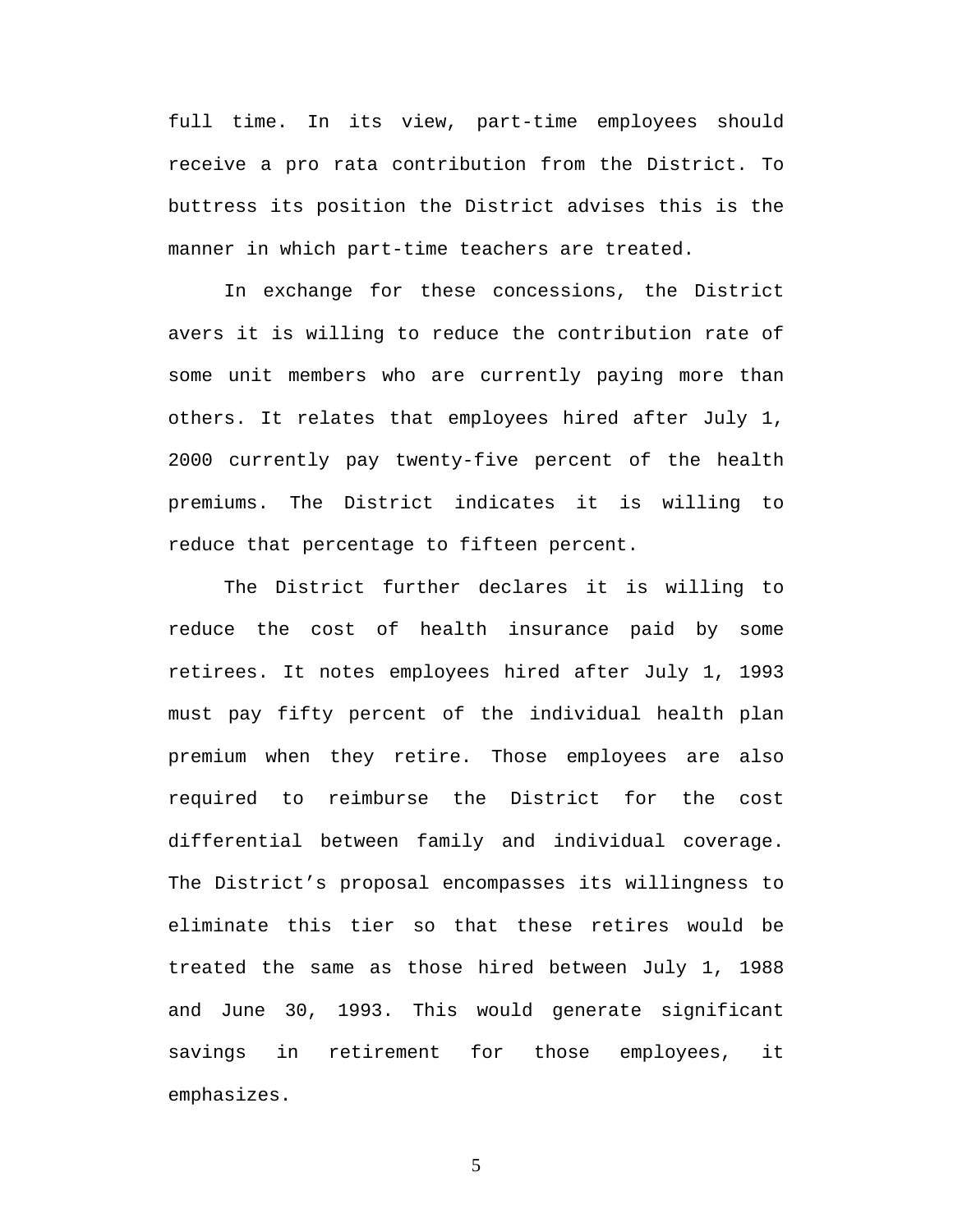full time. In its view, part-time employees should receive a pro rata contribution from the District. To buttress its position the District advises this is the manner in which part-time teachers are treated.

In exchange for these concessions, the District avers it is willing to reduce the contribution rate of some unit members who are currently paying more than others. It relates that employees hired after July 1, 2000 currently pay twenty-five percent of the health premiums. The District indicates it is willing to reduce that percentage to fifteen percent.

 The District further declares it is willing to reduce the cost of health insurance paid by some retirees. It notes employees hired after July 1, 1993 must pay fifty percent of the individual health plan premium when they retire. Those employees are also required to reimburse the District for the cost differential between family and individual coverage. The District's proposal encompasses its willingness to eliminate this tier so that these retires would be treated the same as those hired between July 1, 1988 and June 30, 1993. This would generate significant savings in retirement for those employees, it emphasizes.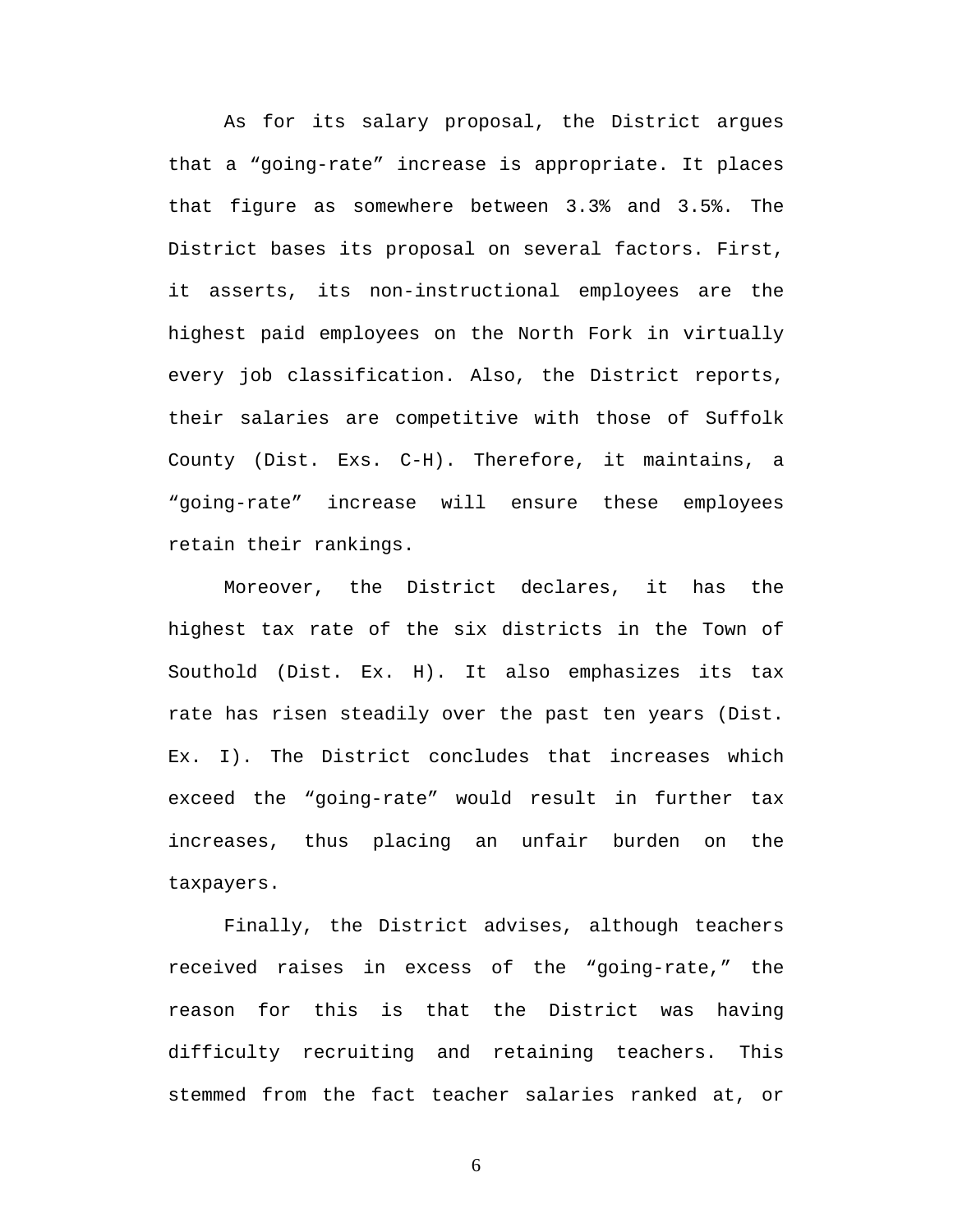As for its salary proposal, the District argues that a "going-rate" increase is appropriate. It places that figure as somewhere between 3.3% and 3.5%. The District bases its proposal on several factors. First, it asserts, its non-instructional employees are the highest paid employees on the North Fork in virtually every job classification. Also, the District reports, their salaries are competitive with those of Suffolk County (Dist. Exs. C-H). Therefore, it maintains, a "going-rate" increase will ensure these employees retain their rankings.

Moreover, the District declares, it has the highest tax rate of the six districts in the Town of Southold (Dist. Ex. H). It also emphasizes its tax rate has risen steadily over the past ten years (Dist. Ex. I). The District concludes that increases which exceed the "going-rate" would result in further tax increases, thus placing an unfair burden on the taxpayers.

Finally, the District advises, although teachers received raises in excess of the "going-rate," the reason for this is that the District was having difficulty recruiting and retaining teachers. This stemmed from the fact teacher salaries ranked at, or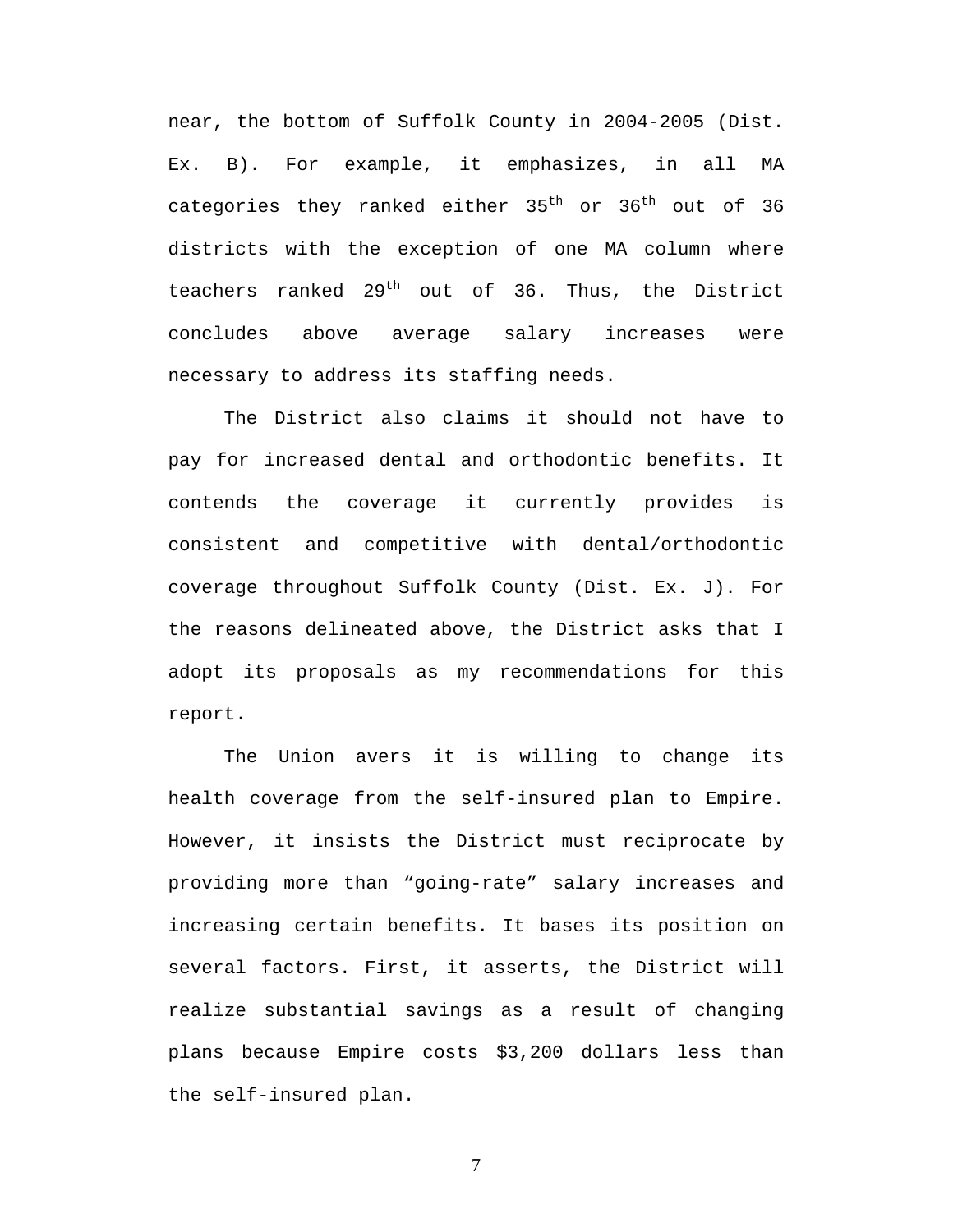near, the bottom of Suffolk County in 2004-2005 (Dist. Ex. B). For example, it emphasizes, in all MA categories they ranked either  $35<sup>th</sup>$  or  $36<sup>th</sup>$  out of  $36$ districts with the exception of one MA column where teachers ranked  $29<sup>th</sup>$  out of 36. Thus, the District concludes above average salary increases were necessary to address its staffing needs.

The District also claims it should not have to pay for increased dental and orthodontic benefits. It contends the coverage it currently provides is consistent and competitive with dental/orthodontic coverage throughout Suffolk County (Dist. Ex. J). For the reasons delineated above, the District asks that I adopt its proposals as my recommendations for this report.

The Union avers it is willing to change its health coverage from the self-insured plan to Empire. However, it insists the District must reciprocate by providing more than "going-rate" salary increases and increasing certain benefits. It bases its position on several factors. First, it asserts, the District will realize substantial savings as a result of changing plans because Empire costs \$3,200 dollars less than the self-insured plan.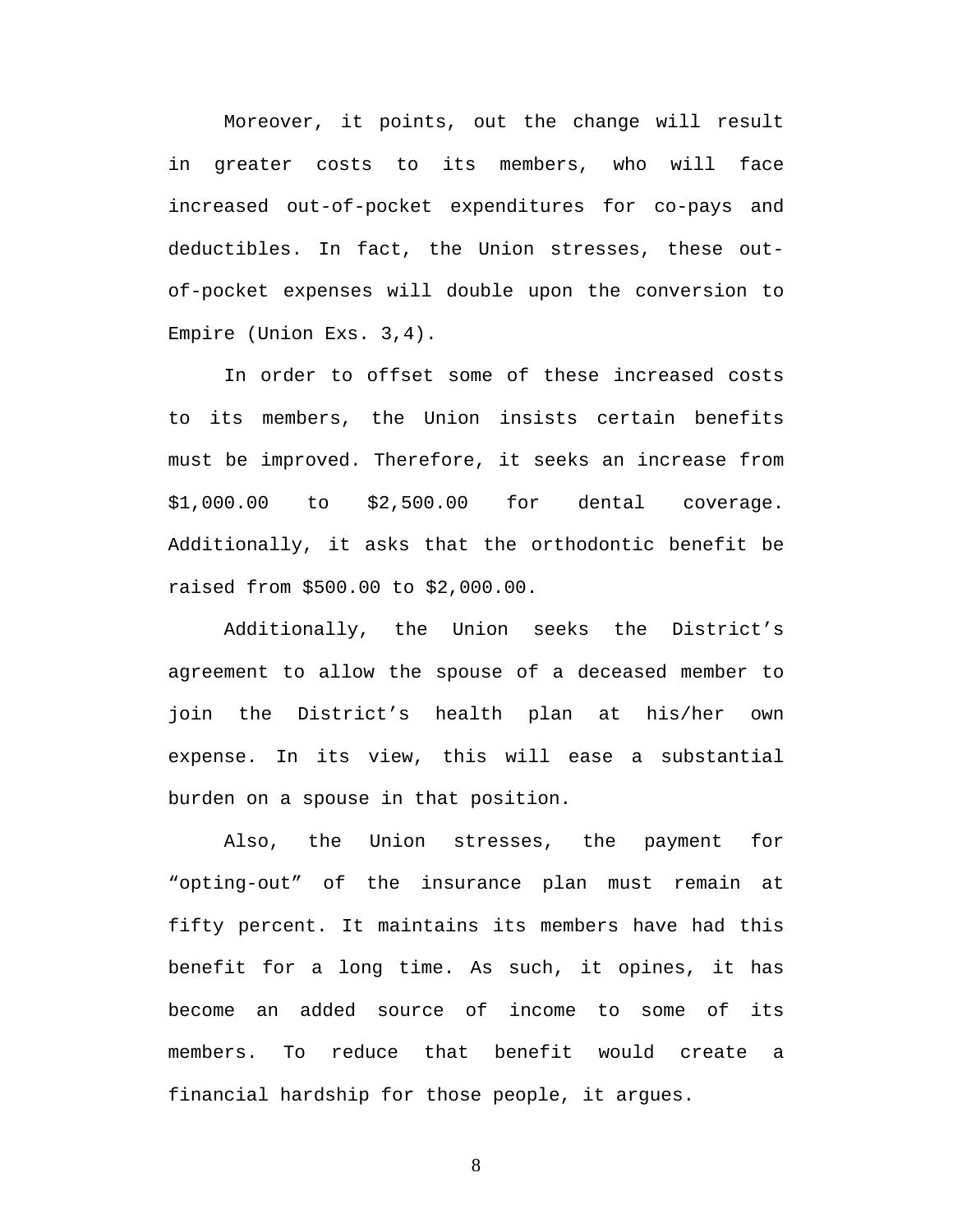Moreover, it points, out the change will result in greater costs to its members, who will face increased out-of-pocket expenditures for co-pays and deductibles. In fact, the Union stresses, these outof-pocket expenses will double upon the conversion to Empire (Union Exs. 3,4).

In order to offset some of these increased costs to its members, the Union insists certain benefits must be improved. Therefore, it seeks an increase from \$1,000.00 to \$2,500.00 for dental coverage. Additionally, it asks that the orthodontic benefit be raised from \$500.00 to \$2,000.00.

Additionally, the Union seeks the District's agreement to allow the spouse of a deceased member to join the District's health plan at his/her own expense. In its view, this will ease a substantial burden on a spouse in that position.

Also, the Union stresses, the payment for "opting-out" of the insurance plan must remain at fifty percent. It maintains its members have had this benefit for a long time. As such, it opines, it has become an added source of income to some of its members. To reduce that benefit would create a financial hardship for those people, it argues.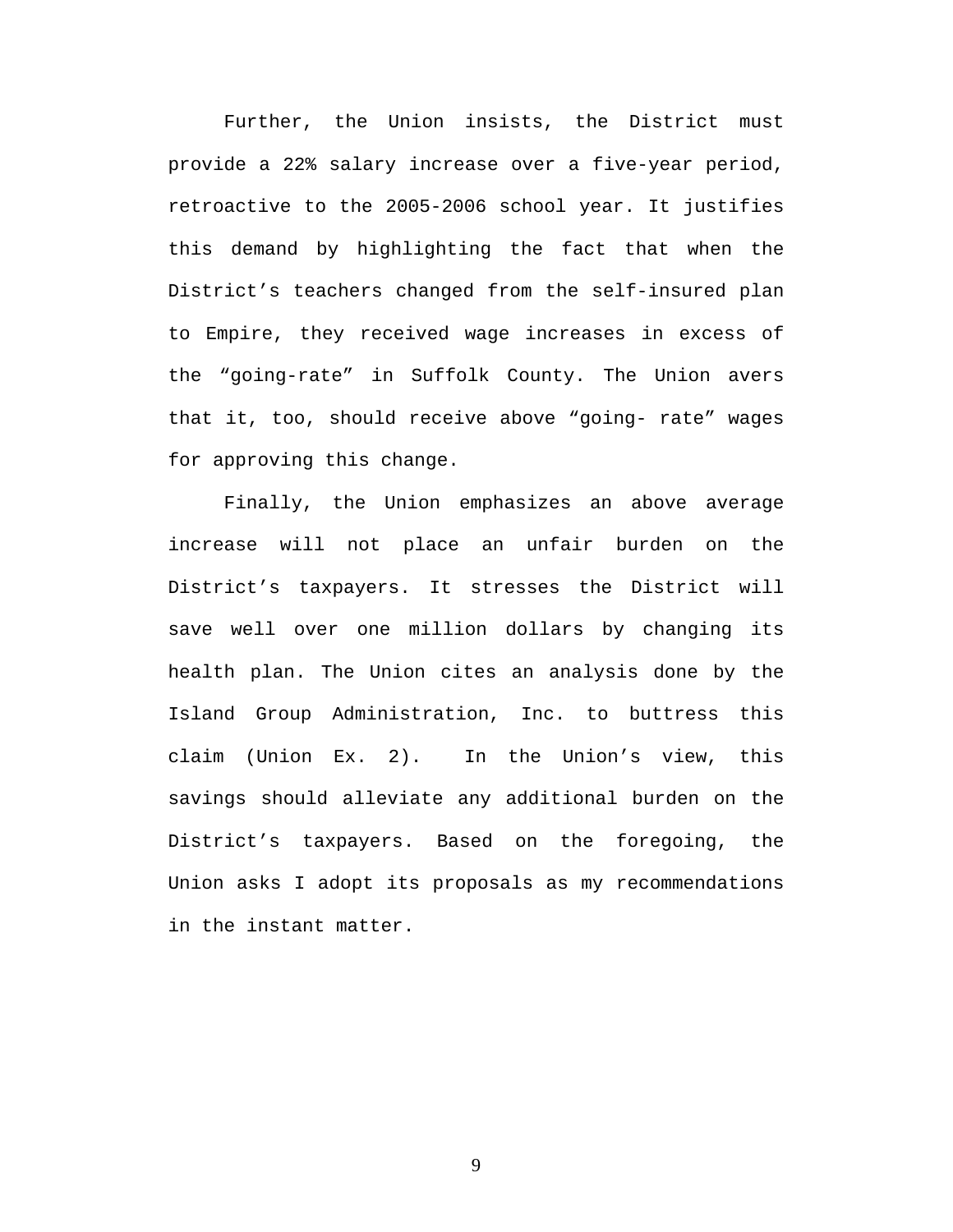Further, the Union insists, the District must provide a 22% salary increase over a five-year period, retroactive to the 2005-2006 school year. It justifies this demand by highlighting the fact that when the District's teachers changed from the self-insured plan to Empire, they received wage increases in excess of the "going-rate" in Suffolk County. The Union avers that it, too, should receive above "going- rate" wages for approving this change.

Finally, the Union emphasizes an above average increase will not place an unfair burden on the District's taxpayers. It stresses the District will save well over one million dollars by changing its health plan. The Union cites an analysis done by the Island Group Administration, Inc. to buttress this claim (Union Ex. 2). In the Union's view, this savings should alleviate any additional burden on the District's taxpayers. Based on the foregoing, the Union asks I adopt its proposals as my recommendations in the instant matter.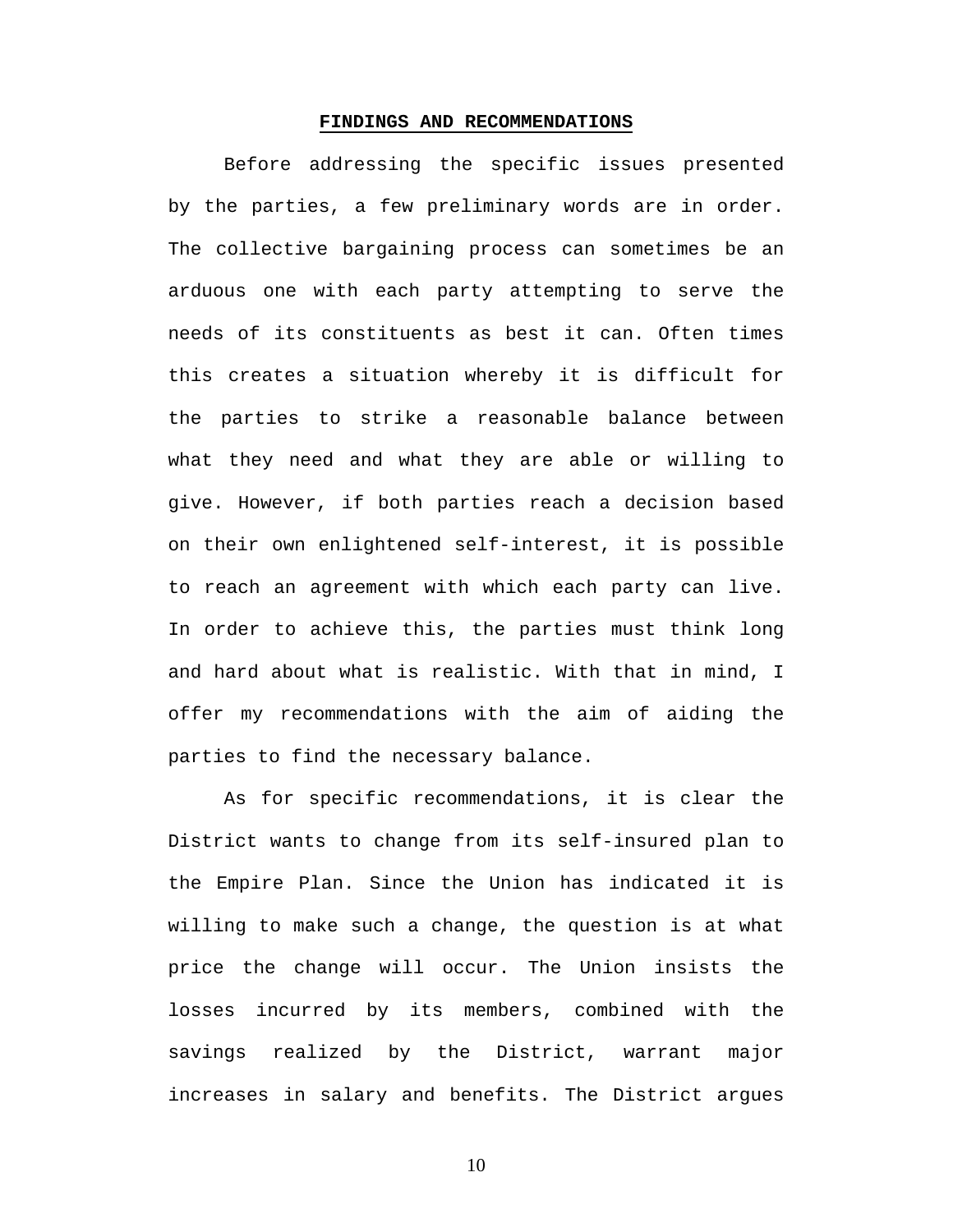#### **FINDINGS AND RECOMMENDATIONS**

Before addressing the specific issues presented by the parties, a few preliminary words are in order. The collective bargaining process can sometimes be an arduous one with each party attempting to serve the needs of its constituents as best it can. Often times this creates a situation whereby it is difficult for the parties to strike a reasonable balance between what they need and what they are able or willing to give. However, if both parties reach a decision based on their own enlightened self-interest, it is possible to reach an agreement with which each party can live. In order to achieve this, the parties must think long and hard about what is realistic. With that in mind, I offer my recommendations with the aim of aiding the parties to find the necessary balance.

 As for specific recommendations, it is clear the District wants to change from its self-insured plan to the Empire Plan. Since the Union has indicated it is willing to make such a change, the question is at what price the change will occur. The Union insists the losses incurred by its members, combined with the savings realized by the District, warrant major increases in salary and benefits. The District argues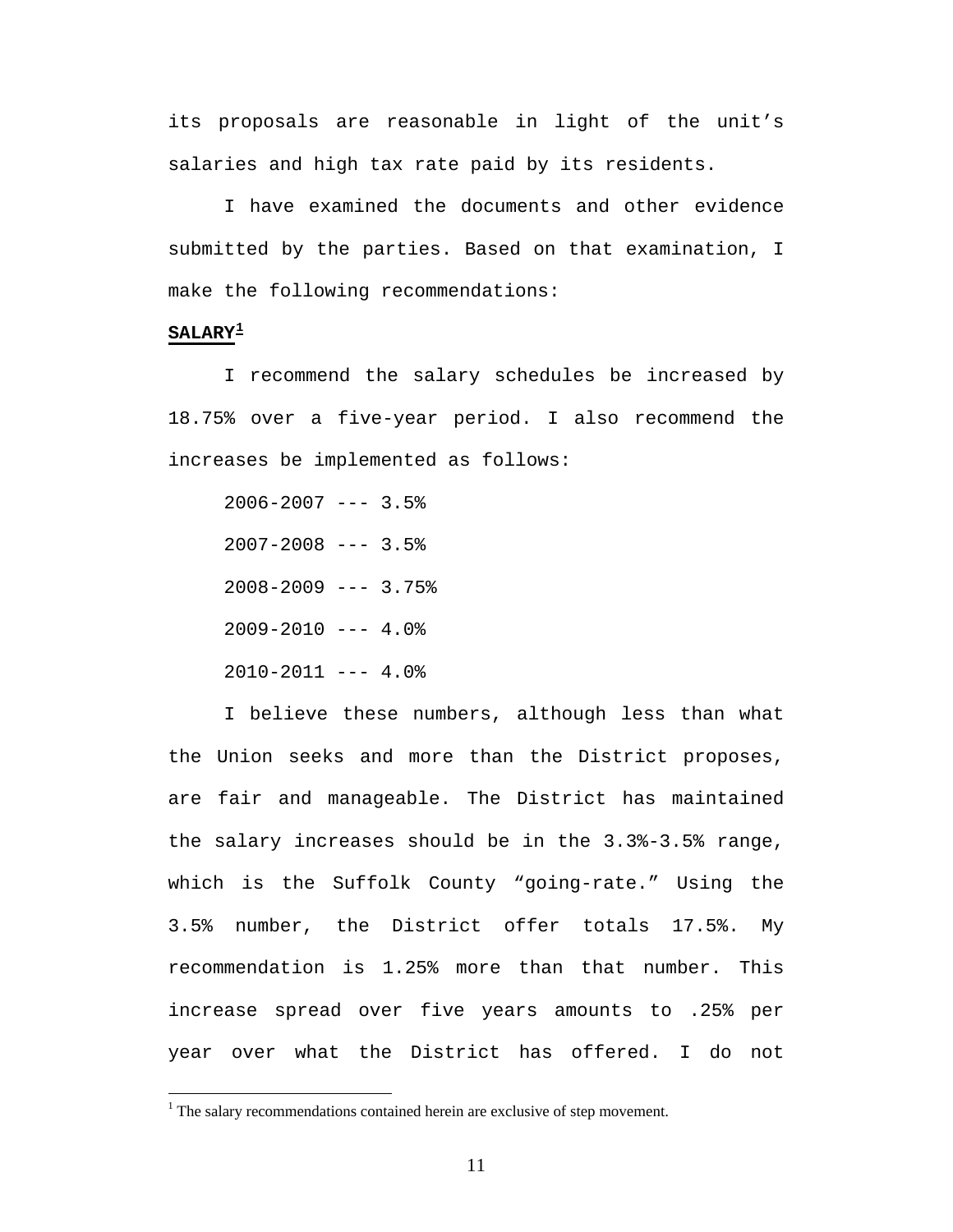its proposals are reasonable in light of the unit's salaries and high tax rate paid by its residents.

 I have examined the documents and other evidence submitted by the parties. Based on that examination, I make the following recommendations:

# **SALARY[1](#page-10-0)**

 $\overline{a}$ 

 I recommend the salary schedules be increased by 18.75% over a five-year period. I also recommend the increases be implemented as follows:

 $2006 - 2007$  --- 3.5%  $2007 - 2008$  --- 3.5%  $2008 - 2009$  --- 3.75%  $2009 - 2010$  --- 4.0%  $2010-2011$  --- 4.0%

 I believe these numbers, although less than what the Union seeks and more than the District proposes, are fair and manageable. The District has maintained the salary increases should be in the 3.3%-3.5% range, which is the Suffolk County "going-rate." Using the 3.5% number, the District offer totals 17.5%. My recommendation is 1.25% more than that number. This increase spread over five years amounts to .25% per year over what the District has offered. I do not

<span id="page-10-0"></span> $<sup>1</sup>$  The salary recommendations contained herein are exclusive of step movement.</sup>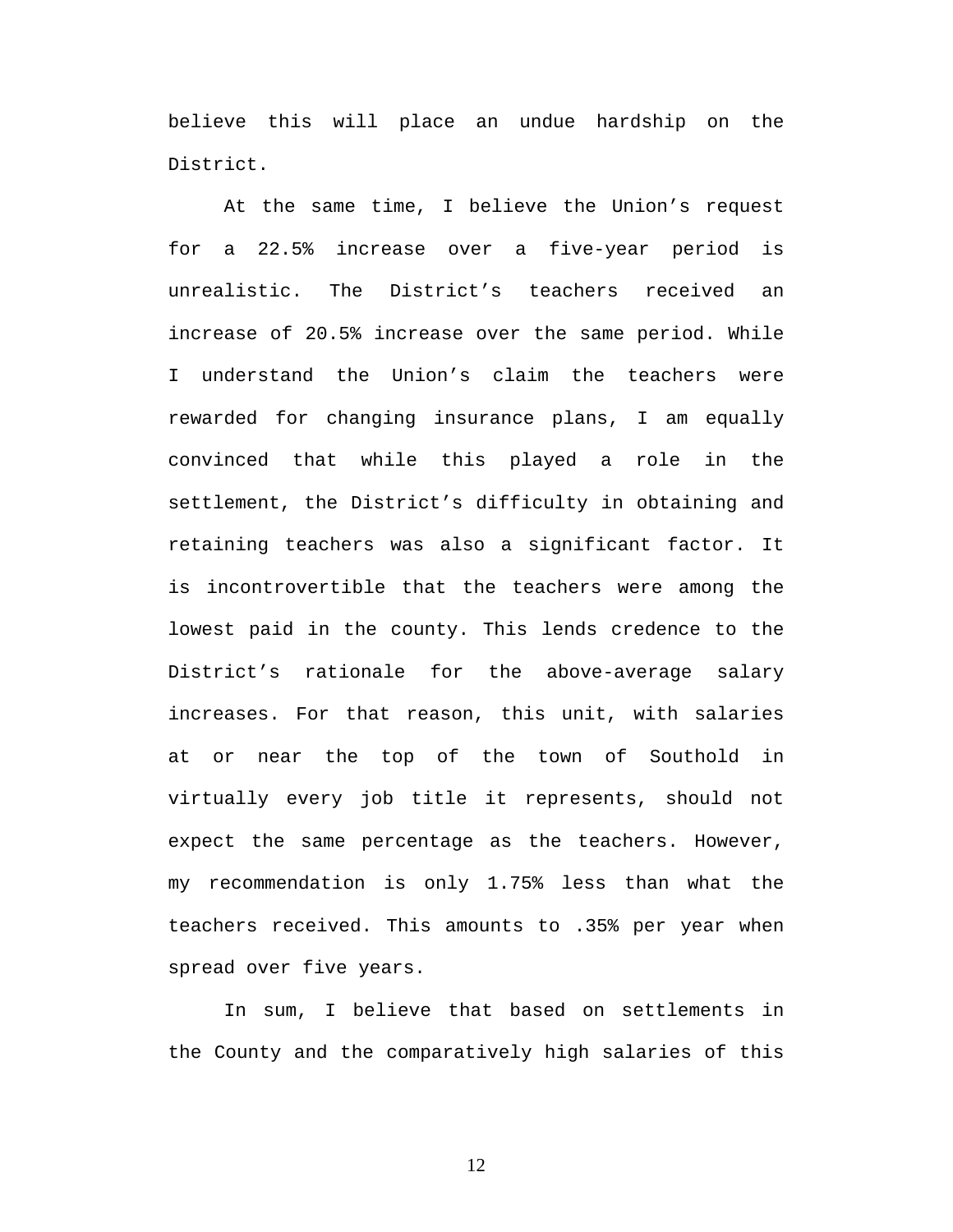believe this will place an undue hardship on the District.

 At the same time, I believe the Union's request for a 22.5% increase over a five-year period is unrealistic. The District's teachers received an increase of 20.5% increase over the same period. While I understand the Union's claim the teachers were rewarded for changing insurance plans, I am equally convinced that while this played a role in the settlement, the District's difficulty in obtaining and retaining teachers was also a significant factor. It is incontrovertible that the teachers were among the lowest paid in the county. This lends credence to the District's rationale for the above-average salary increases. For that reason, this unit, with salaries at or near the top of the town of Southold in virtually every job title it represents, should not expect the same percentage as the teachers. However, my recommendation is only 1.75% less than what the teachers received. This amounts to .35% per year when spread over five years.

 In sum, I believe that based on settlements in the County and the comparatively high salaries of this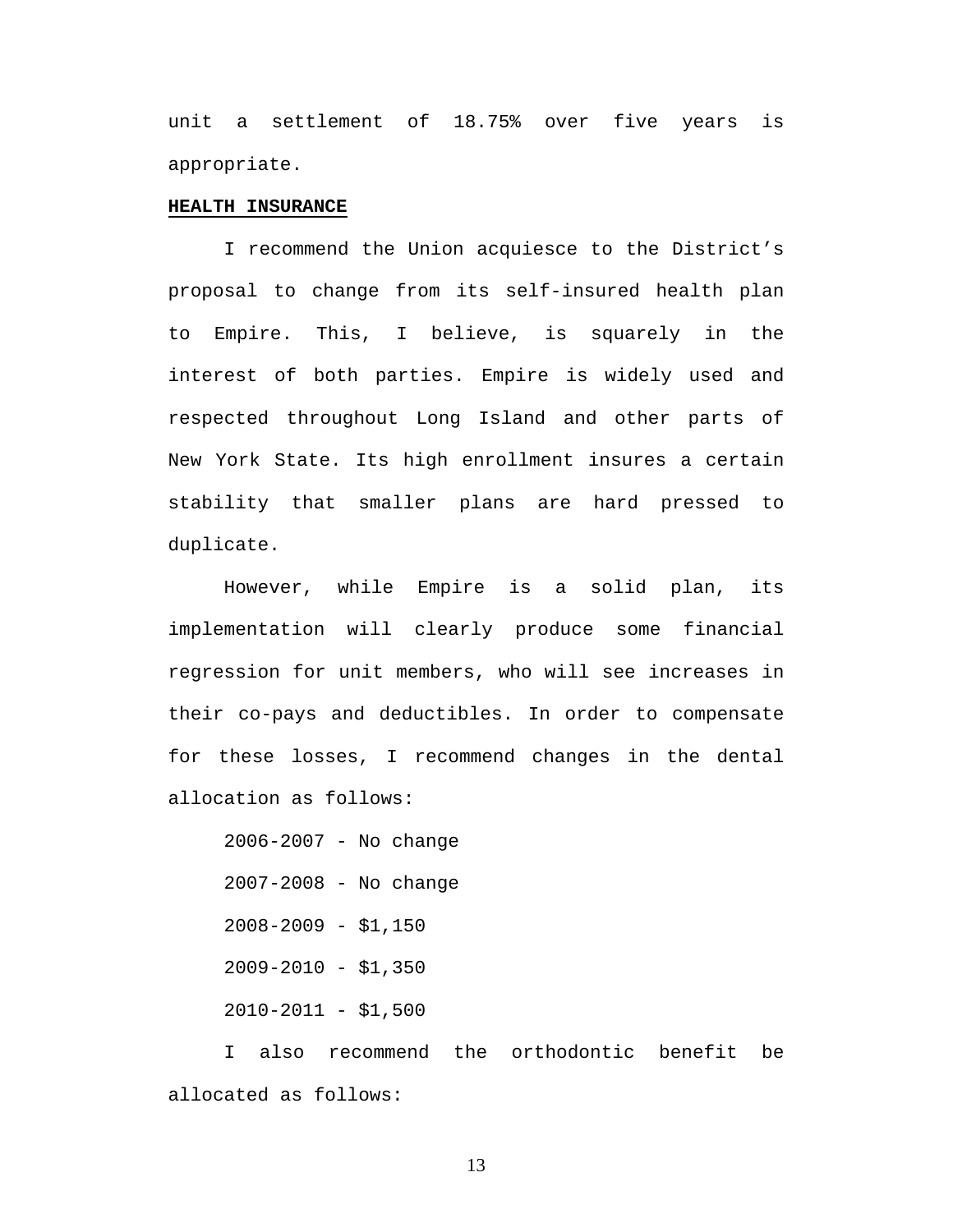unit a settlement of 18.75% over five years is appropriate.

## **HEALTH INSURANCE**

 I recommend the Union acquiesce to the District's proposal to change from its self-insured health plan to Empire. This, I believe, is squarely in the interest of both parties. Empire is widely used and respected throughout Long Island and other parts of New York State. Its high enrollment insures a certain stability that smaller plans are hard pressed to duplicate.

 However, while Empire is a solid plan, its implementation will clearly produce some financial regression for unit members, who will see increases in their co-pays and deductibles. In order to compensate for these losses, I recommend changes in the dental allocation as follows:

 2006-2007 - No change 2007-2008 - No change  $2008 - 2009 - $1,150$ 2009-2010 - \$1,350  $2010-2011 - $1,500$ 

 I also recommend the orthodontic benefit be allocated as follows: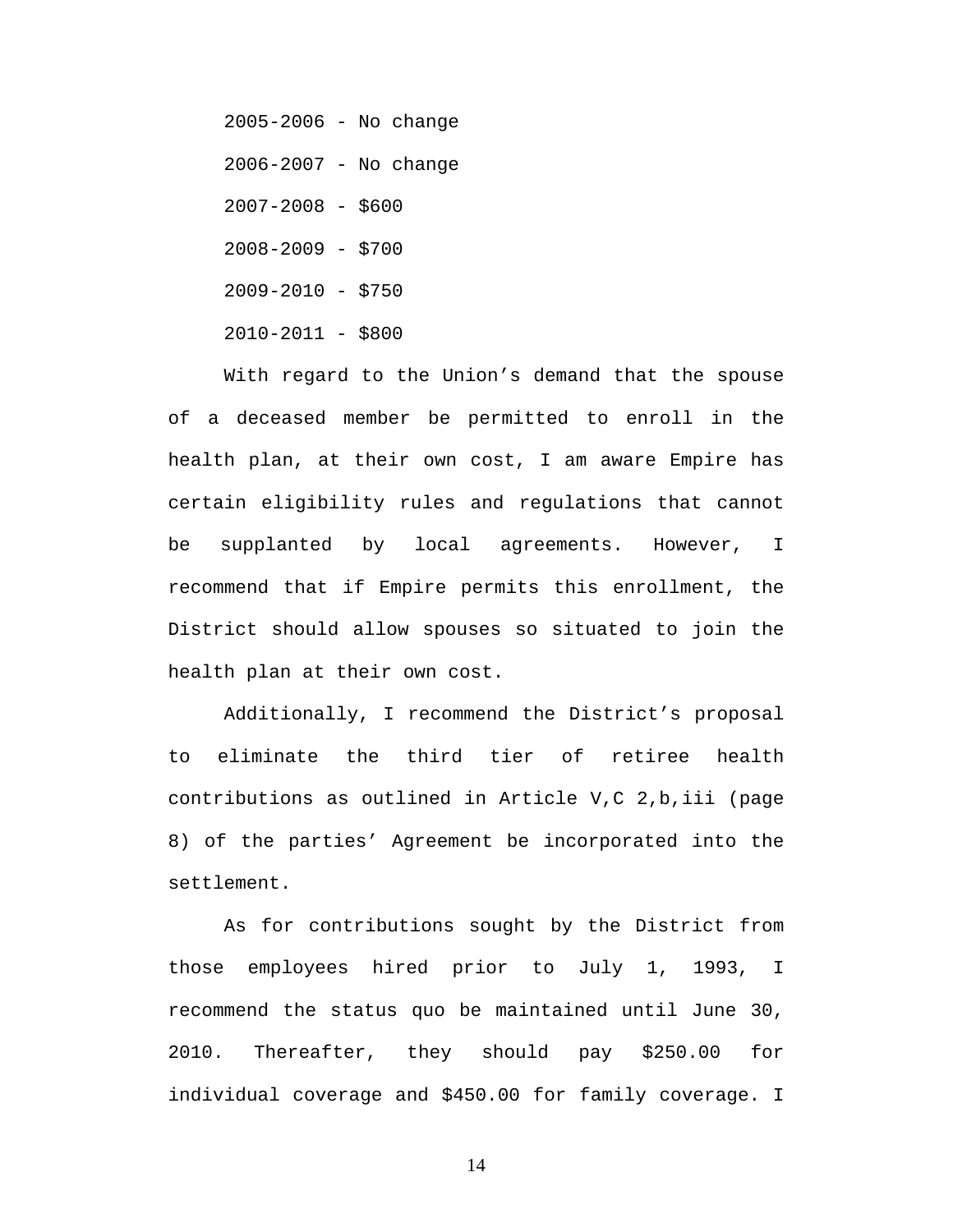2005-2006 - No change 2006-2007 - No change 2007-2008 - \$600 2008-2009 - \$700 2009-2010 - \$750 2010-2011 - \$800

 With regard to the Union's demand that the spouse of a deceased member be permitted to enroll in the health plan, at their own cost, I am aware Empire has certain eligibility rules and regulations that cannot be supplanted by local agreements. However, I recommend that if Empire permits this enrollment, the District should allow spouses so situated to join the health plan at their own cost.

 Additionally, I recommend the District's proposal to eliminate the third tier of retiree health contributions as outlined in Article V,C 2,b,iii (page 8) of the parties' Agreement be incorporated into the settlement.

 As for contributions sought by the District from those employees hired prior to July 1, 1993, I recommend the status quo be maintained until June 30, 2010. Thereafter, they should pay \$250.00 for individual coverage and \$450.00 for family coverage. I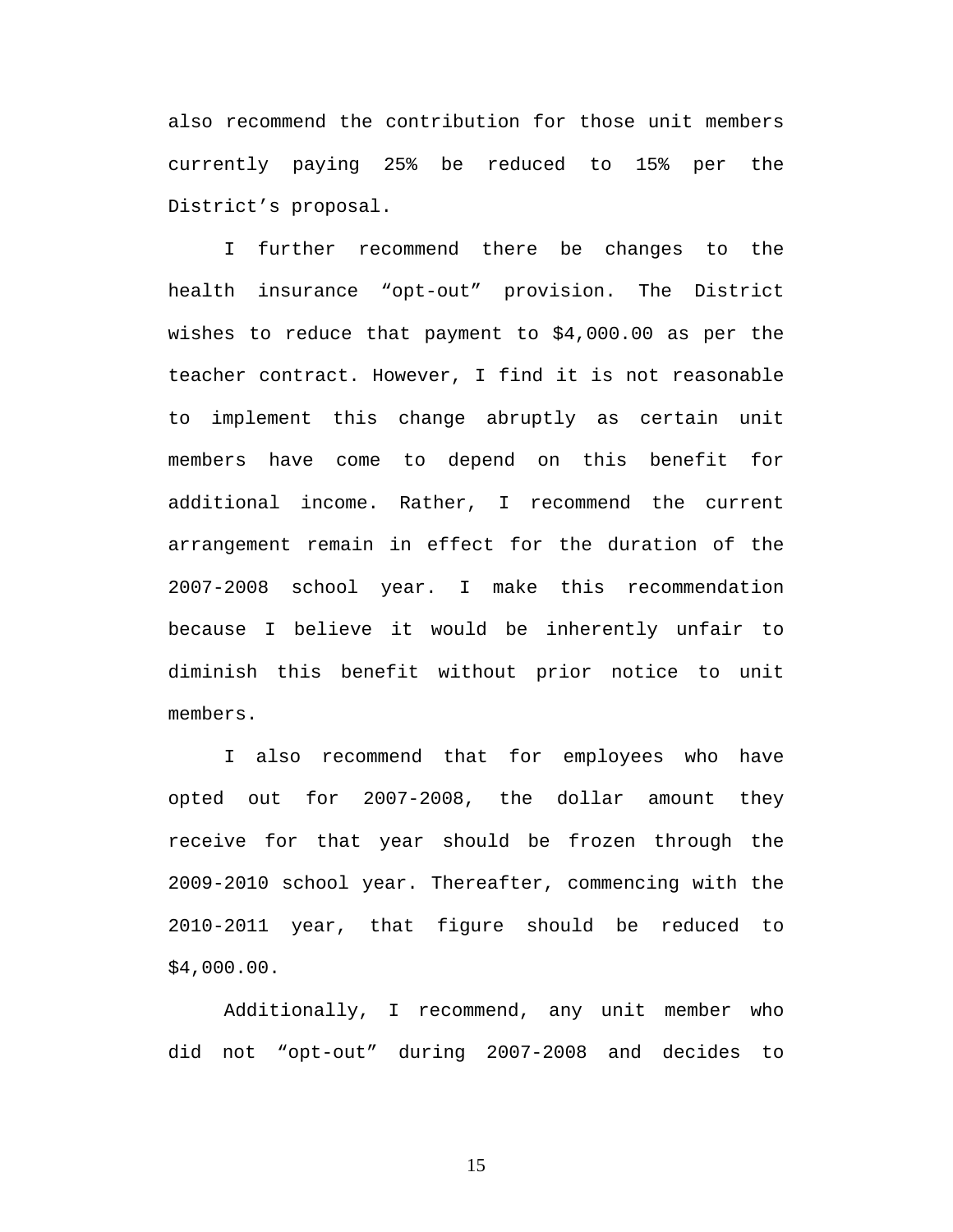also recommend the contribution for those unit members currently paying 25% be reduced to 15% per the District's proposal.

 I further recommend there be changes to the health insurance "opt-out" provision. The District wishes to reduce that payment to \$4,000.00 as per the teacher contract. However, I find it is not reasonable to implement this change abruptly as certain unit members have come to depend on this benefit for additional income. Rather, I recommend the current arrangement remain in effect for the duration of the 2007-2008 school year. I make this recommendation because I believe it would be inherently unfair to diminish this benefit without prior notice to unit members.

I also recommend that for employees who have opted out for 2007-2008, the dollar amount they receive for that year should be frozen through the 2009-2010 school year. Thereafter, commencing with the 2010-2011 year, that figure should be reduced to \$4,000.00.

Additionally, I recommend, any unit member who did not "opt-out" during 2007-2008 and decides to